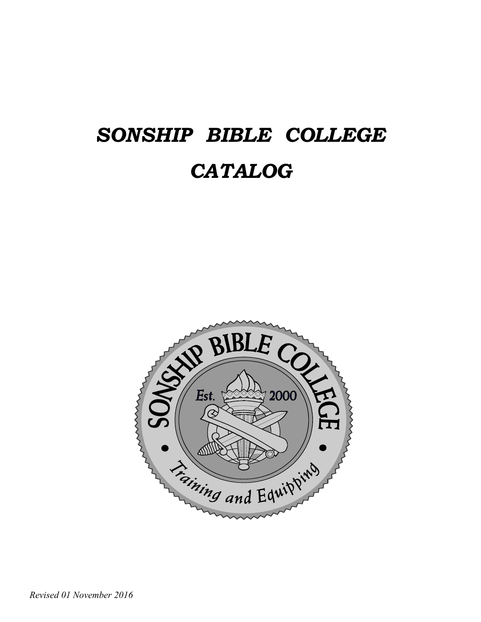# *SONSHIP BIBLE COLLEGE CATALOG*

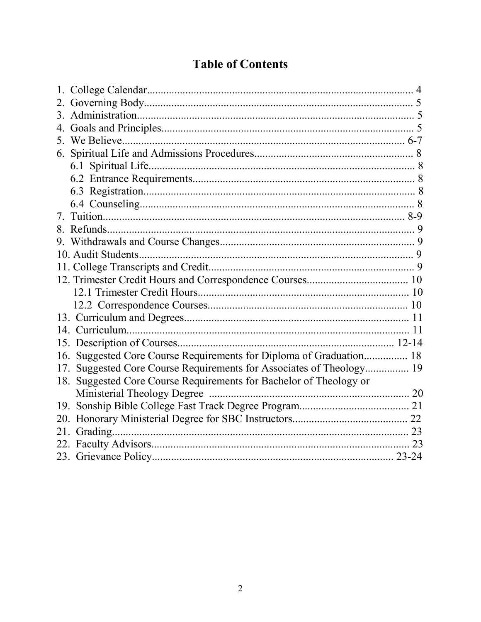# **Table of Contents**

| $3_{-}$ |                                                                      |  |
|---------|----------------------------------------------------------------------|--|
|         |                                                                      |  |
|         |                                                                      |  |
|         |                                                                      |  |
|         |                                                                      |  |
|         |                                                                      |  |
|         |                                                                      |  |
|         |                                                                      |  |
| 7.      |                                                                      |  |
| 8.      |                                                                      |  |
|         |                                                                      |  |
|         |                                                                      |  |
|         |                                                                      |  |
|         |                                                                      |  |
|         |                                                                      |  |
|         |                                                                      |  |
|         |                                                                      |  |
|         |                                                                      |  |
|         |                                                                      |  |
|         | 16. Suggested Core Course Requirements for Diploma of Graduation 18  |  |
|         | 17. Suggested Core Course Requirements for Associates of Theology 19 |  |
|         | 18. Suggested Core Course Requirements for Bachelor of Theology or   |  |
|         |                                                                      |  |
|         |                                                                      |  |
|         |                                                                      |  |
| 21.     |                                                                      |  |
|         |                                                                      |  |
|         |                                                                      |  |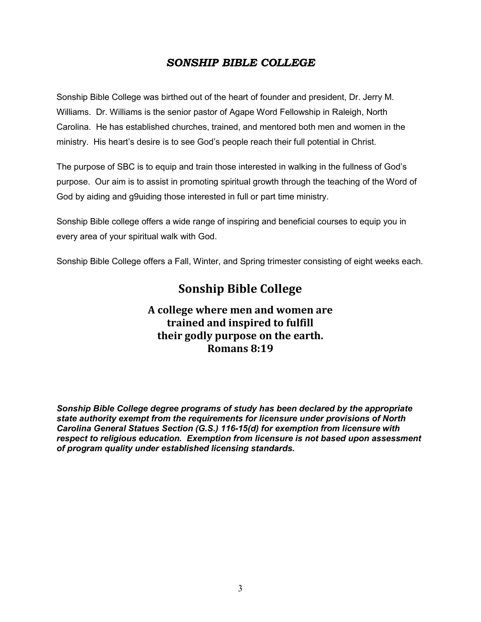#### *SONSHIP BIBLE COLLEGE*

Sonship Bible College was birthed out of the heart of founder and president, Dr. Jerry M. Williams. Dr. Williams is the senior pastor of Agape Word Fellowship in Raleigh, North Carolina. He has established churches, trained, and mentored both men and women in the ministry. His heart's desire is to see God's people reach their full potential in Christ.

The purpose of SBC is to equip and train those interested in walking in the fullness of God's purpose. Our aim is to assist in promoting spiritual growth through the teaching of the Word of God by aiding and g9uiding those interested in full or part time ministry.

Sonship Bible college offers a wide range of inspiring and beneficial courses to equip you in every area of your spiritual walk with God.

Sonship Bible College offers a Fall, Winter, and Spring trimester consisting of eight weeks each.

### **Sonship Bible College**

### **A college where men and women are trained and inspired to fulfill their godly purpose on the earth. Romans 8:19**

*Sonship Bible College degree programs of study has been declared by the appropriate state authority exempt from the requirements for licensure under provisions of North Carolina General Statues Section (G.S.) 116-15(d) for exemption from licensure with respect to religious education. Exemption from licensure is not based upon assessment of program quality under established licensing standards.*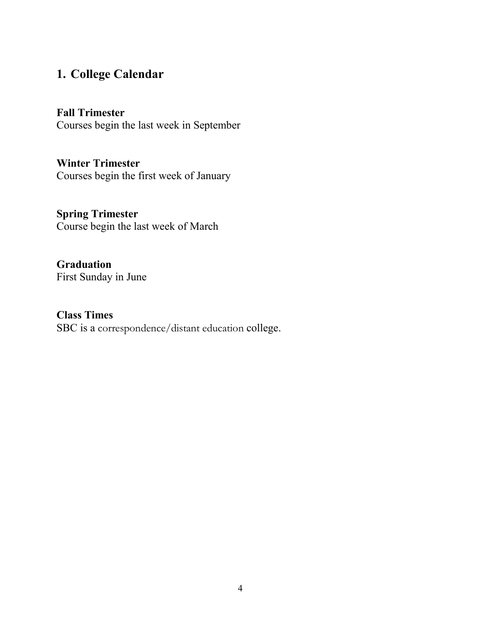### **1. College Calendar**

### **Fall Trimester**

Courses begin the last week in September

**Winter Trimester** Courses begin the first week of January

# **Spring Trimester**

Course begin the last week of March

### **Graduation** First Sunday in June

### **Class Times** SBC is a correspondence/distant education college.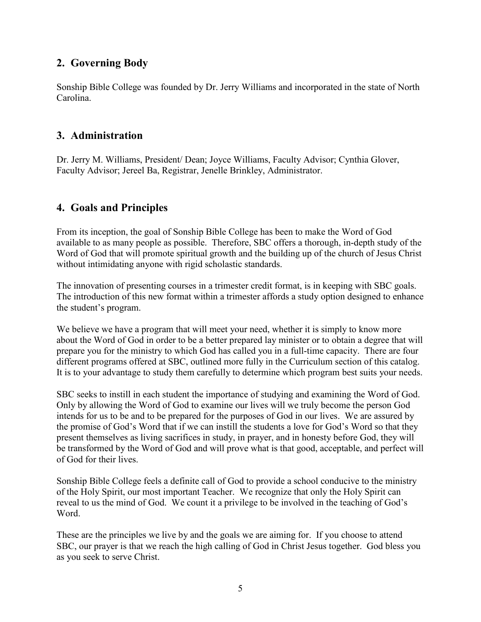### **2. Governing Body**

Sonship Bible College was founded by Dr. Jerry Williams and incorporated in the state of North Carolina.

#### **3. Administration**

Dr. Jerry M. Williams, President/ Dean; Joyce Williams, Faculty Advisor; Cynthia Glover, Faculty Advisor; Jereel Ba, Registrar, Jenelle Brinkley, Administrator.

### **4. Goals and Principles**

From its inception, the goal of Sonship Bible College has been to make the Word of God available to as many people as possible. Therefore, SBC offers a thorough, in-depth study of the Word of God that will promote spiritual growth and the building up of the church of Jesus Christ without intimidating anyone with rigid scholastic standards.

The innovation of presenting courses in a trimester credit format, is in keeping with SBC goals. The introduction of this new format within a trimester affords a study option designed to enhance the student's program.

We believe we have a program that will meet your need, whether it is simply to know more about the Word of God in order to be a better prepared lay minister or to obtain a degree that will prepare you for the ministry to which God has called you in a full-time capacity. There are four different programs offered at SBC, outlined more fully in the Curriculum section of this catalog. It is to your advantage to study them carefully to determine which program best suits your needs.

SBC seeks to instill in each student the importance of studying and examining the Word of God. Only by allowing the Word of God to examine our lives will we truly become the person God intends for us to be and to be prepared for the purposes of God in our lives. We are assured by the promise of God's Word that if we can instill the students a love for God's Word so that they present themselves as living sacrifices in study, in prayer, and in honesty before God, they will be transformed by the Word of God and will prove what is that good, acceptable, and perfect will of God for their lives.

Sonship Bible College feels a definite call of God to provide a school conducive to the ministry of the Holy Spirit, our most important Teacher. We recognize that only the Holy Spirit can reveal to us the mind of God. We count it a privilege to be involved in the teaching of God's Word.

These are the principles we live by and the goals we are aiming for. If you choose to attend SBC, our prayer is that we reach the high calling of God in Christ Jesus together. God bless you as you seek to serve Christ.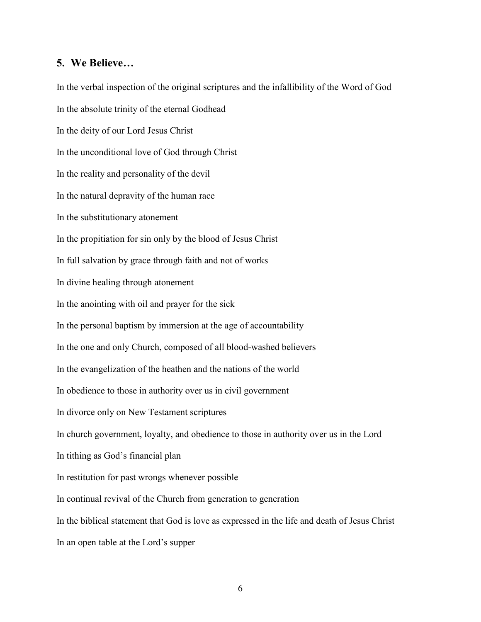#### **5. We Believe…**

In the verbal inspection of the original scriptures and the infallibility of the Word of God In the absolute trinity of the eternal Godhead In the deity of our Lord Jesus Christ In the unconditional love of God through Christ In the reality and personality of the devil In the natural depravity of the human race In the substitutionary atonement In the propitiation for sin only by the blood of Jesus Christ In full salvation by grace through faith and not of works In divine healing through atonement In the anointing with oil and prayer for the sick In the personal baptism by immersion at the age of accountability In the one and only Church, composed of all blood-washed believers In the evangelization of the heathen and the nations of the world In obedience to those in authority over us in civil government In divorce only on New Testament scriptures In church government, loyalty, and obedience to those in authority over us in the Lord In tithing as God's financial plan In restitution for past wrongs whenever possible In continual revival of the Church from generation to generation In the biblical statement that God is love as expressed in the life and death of Jesus Christ In an open table at the Lord's supper

6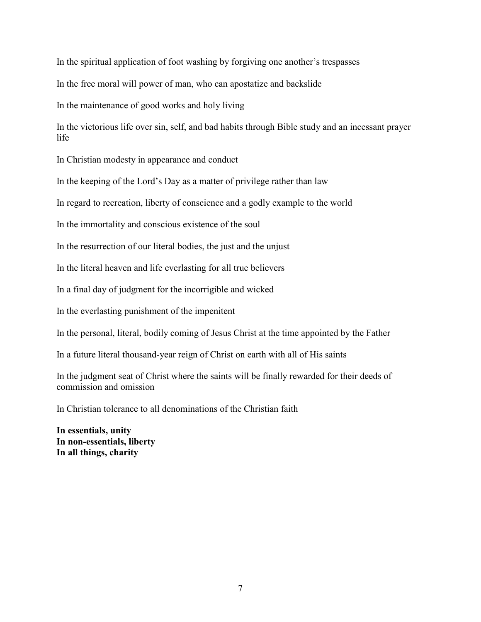In the spiritual application of foot washing by forgiving one another's trespasses

In the free moral will power of man, who can apostatize and backslide

In the maintenance of good works and holy living

In the victorious life over sin, self, and bad habits through Bible study and an incessant prayer life

In Christian modesty in appearance and conduct

In the keeping of the Lord's Day as a matter of privilege rather than law

In regard to recreation, liberty of conscience and a godly example to the world

In the immortality and conscious existence of the soul

In the resurrection of our literal bodies, the just and the unjust

In the literal heaven and life everlasting for all true believers

In a final day of judgment for the incorrigible and wicked

In the everlasting punishment of the impenitent

In the personal, literal, bodily coming of Jesus Christ at the time appointed by the Father

In a future literal thousand-year reign of Christ on earth with all of His saints

In the judgment seat of Christ where the saints will be finally rewarded for their deeds of commission and omission

In Christian tolerance to all denominations of the Christian faith

**In essentials, unity In non-essentials, liberty In all things, charity**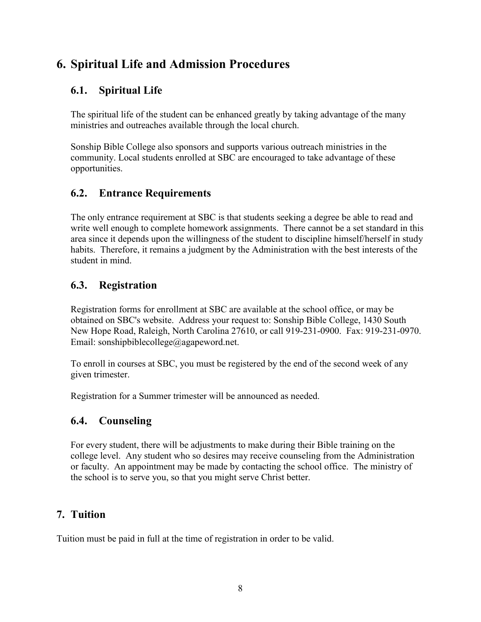### **6. Spiritual Life and Admission Procedures**

### **6.1. Spiritual Life**

The spiritual life of the student can be enhanced greatly by taking advantage of the many ministries and outreaches available through the local church.

Sonship Bible College also sponsors and supports various outreach ministries in the community. Local students enrolled at SBC are encouraged to take advantage of these opportunities.

### **6.2. Entrance Requirements**

The only entrance requirement at SBC is that students seeking a degree be able to read and write well enough to complete homework assignments. There cannot be a set standard in this area since it depends upon the willingness of the student to discipline himself/herself in study habits. Therefore, it remains a judgment by the Administration with the best interests of the student in mind.

### **6.3. Registration**

Registration forms for enrollment at SBC are available at the school office, or may be obtained on SBC's website. Address your request to: Sonship Bible College, 1430 South New Hope Road, Raleigh, North Carolina 27610, or call 919-231-0900. Fax: 919-231-0970. Email: sonshipbiblecollege@agapeword.net.

To enroll in courses at SBC, you must be registered by the end of the second week of any given trimester.

Registration for a Summer trimester will be announced as needed.

### **6.4. Counseling**

For every student, there will be adjustments to make during their Bible training on the college level. Any student who so desires may receive counseling from the Administration or faculty. An appointment may be made by contacting the school office. The ministry of the school is to serve you, so that you might serve Christ better.

### **7. Tuition**

Tuition must be paid in full at the time of registration in order to be valid.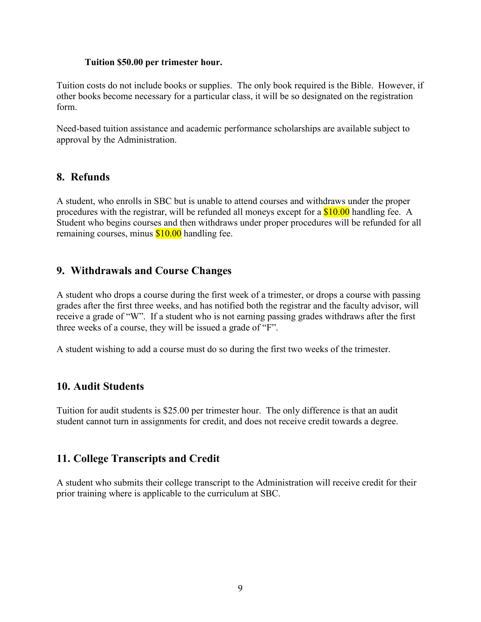#### **Tuition \$50.00 per trimester hour.**

Tuition costs do not include books or supplies. The only book required is the Bible. However, if other books become necessary for a particular class, it will be so designated on the registration form.

Need-based tuition assistance and academic performance scholarships are available subject to approval by the Administration.

#### **8. Refunds**

A student, who enrolls in SBC but is unable to attend courses and withdraws under the proper procedures with the registrar, will be refunded all moneys except for a \$10.00 handling fee. A Student who begins courses and then withdraws under proper procedures will be refunded for all remaining courses, minus \$10.00 handling fee.

#### **9. Withdrawals and Course Changes**

A student who drops a course during the first week of a trimester, or drops a course with passing grades after the first three weeks, and has notified both the registrar and the faculty advisor, will receive a grade of "W". If a student who is not earning passing grades withdraws after the first three weeks of a course, they will be issued a grade of "F".

A student wishing to add a course must do so during the first two weeks of the trimester.

#### **10. Audit Students**

Tuition for audit students is \$25.00 per trimester hour. The only difference is that an audit student cannot turn in assignments for credit, and does not receive credit towards a degree.

#### **11. College Transcripts and Credit**

A student who submits their college transcript to the Administration will receive credit for their prior training where is applicable to the curriculum at SBC.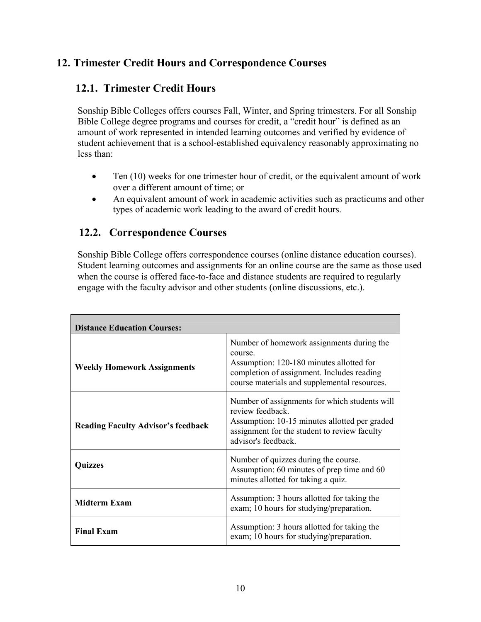### **12. Trimester Credit Hours and Correspondence Courses**

### **12.1. Trimester Credit Hours**

Sonship Bible Colleges offers courses Fall, Winter, and Spring trimesters. For all Sonship Bible College degree programs and courses for credit, a "credit hour" is defined as an amount of work represented in intended learning outcomes and verified by evidence of student achievement that is a school-established equivalency reasonably approximating no less than:

- Ten (10) weeks for one trimester hour of credit, or the equivalent amount of work over a different amount of time; or
- An equivalent amount of work in academic activities such as practicums and other types of academic work leading to the award of credit hours.

### **12.2. Correspondence Courses**

Sonship Bible College offers correspondence courses (online distance education courses). Student learning outcomes and assignments for an online course are the same as those used when the course is offered face-to-face and distance students are required to regularly engage with the faculty advisor and other students (online discussions, etc.).

| <b>Distance Education Courses:</b>        |                                                                                                                                                                                                |
|-------------------------------------------|------------------------------------------------------------------------------------------------------------------------------------------------------------------------------------------------|
| <b>Weekly Homework Assignments</b>        | Number of homework assignments during the<br>course.<br>Assumption: 120-180 minutes allotted for<br>completion of assignment. Includes reading<br>course materials and supplemental resources. |
| <b>Reading Faculty Advisor's feedback</b> | Number of assignments for which students will<br>review feedback.<br>Assumption: 10-15 minutes allotted per graded<br>assignment for the student to review faculty<br>advisor's feedback.      |
| <b>Quizzes</b>                            | Number of quizzes during the course.<br>Assumption: 60 minutes of prep time and 60<br>minutes allotted for taking a quiz.                                                                      |
| Midterm Exam                              | Assumption: 3 hours allotted for taking the<br>exam; 10 hours for studying/preparation.                                                                                                        |
| <b>Final Exam</b>                         | Assumption: 3 hours allotted for taking the<br>exam; 10 hours for studying/preparation.                                                                                                        |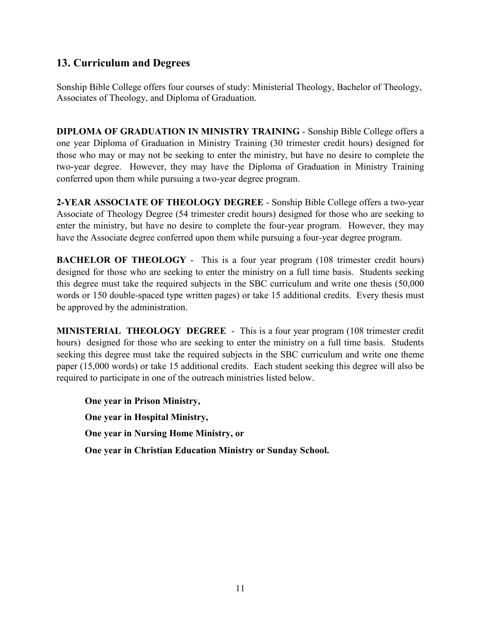### **13. Curriculum and Degrees**

Sonship Bible College offers four courses of study: Ministerial Theology, Bachelor of Theology, Associates of Theology, and Diploma of Graduation.

**DIPLOMA OF GRADUATION IN MINISTRY TRAINING** - Sonship Bible College offers a one year Diploma of Graduation in Ministry Training (30 trimester credit hours) designed for those who may or may not be seeking to enter the ministry, but have no desire to complete the two-year degree. However, they may have the Diploma of Graduation in Ministry Training conferred upon them while pursuing a two-year degree program.

**2-YEAR ASSOCIATE OF THEOLOGY DEGREE** - Sonship Bible College offers a two-year Associate of Theology Degree (54 trimester credit hours) designed for those who are seeking to enter the ministry, but have no desire to complete the four-year program. However, they may have the Associate degree conferred upon them while pursuing a four-year degree program.

**BACHELOR OF THEOLOGY** - This is a four year program (108 trimester credit hours) designed for those who are seeking to enter the ministry on a full time basis. Students seeking this degree must take the required subjects in the SBC curriculum and write one thesis (50,000 words or 150 double-spaced type written pages) or take 15 additional credits. Every thesis must be approved by the administration.

**MINISTERIAL THEOLOGY DEGREE** - This is a four year program (108 trimester credit hours) designed for those who are seeking to enter the ministry on a full time basis. Students seeking this degree must take the required subjects in the SBC curriculum and write one theme paper (15,000 words) or take 15 additional credits. Each student seeking this degree will also be required to participate in one of the outreach ministries listed below.

**One year in Prison Ministry, One year in Hospital Ministry, One year in Nursing Home Ministry, or One year in Christian Education Ministry or Sunday School.**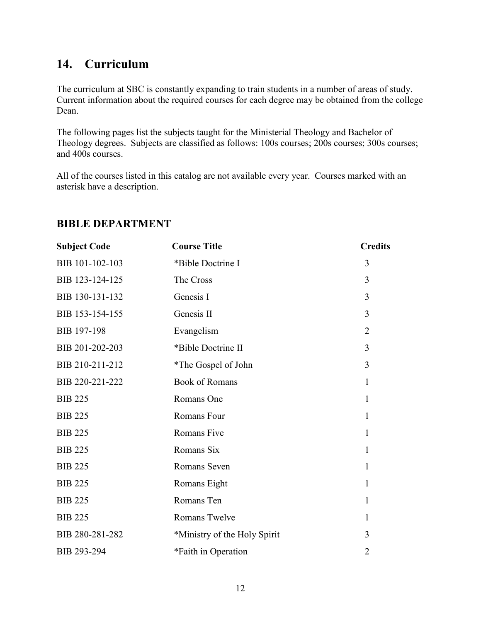### **14. Curriculum**

The curriculum at SBC is constantly expanding to train students in a number of areas of study. Current information about the required courses for each degree may be obtained from the college Dean.

The following pages list the subjects taught for the Ministerial Theology and Bachelor of Theology degrees. Subjects are classified as follows: 100s courses; 200s courses; 300s courses; and 400s courses.

All of the courses listed in this catalog are not available every year. Courses marked with an asterisk have a description.

| <b>Subject Code</b> | <b>Course Title</b>          | <b>Credits</b> |
|---------------------|------------------------------|----------------|
| BIB 101-102-103     | *Bible Doctrine I            | 3              |
| BIB 123-124-125     | The Cross                    | 3              |
| BIB 130-131-132     | Genesis I                    | 3              |
| BIB 153-154-155     | Genesis II                   | 3              |
| <b>BIB 197-198</b>  | Evangelism                   | $\overline{2}$ |
| BIB 201-202-203     | *Bible Doctrine II           | 3              |
| BIB 210-211-212     | *The Gospel of John          | 3              |
| BIB 220-221-222     | <b>Book of Romans</b>        | $\mathbf{1}$   |
| <b>BIB 225</b>      | Romans One                   | $\mathbf{1}$   |
| <b>BIB 225</b>      | Romans Four                  | 1              |
| <b>BIB 225</b>      | Romans Five                  | $\mathbf{1}$   |
| <b>BIB 225</b>      | Romans Six                   | $\mathbf{1}$   |
| <b>BIB 225</b>      | Romans Seven                 | $\mathbf{1}$   |
| <b>BIB 225</b>      | Romans Eight                 | $\mathbf{1}$   |
| <b>BIB 225</b>      | Romans Ten                   | $\mathbf{1}$   |
| <b>BIB 225</b>      | Romans Twelve                | $\mathbf{1}$   |
| BIB 280-281-282     | *Ministry of the Holy Spirit | 3              |
| BIB 293-294         | *Faith in Operation          | $\overline{2}$ |

#### **BIBLE DEPARTMENT**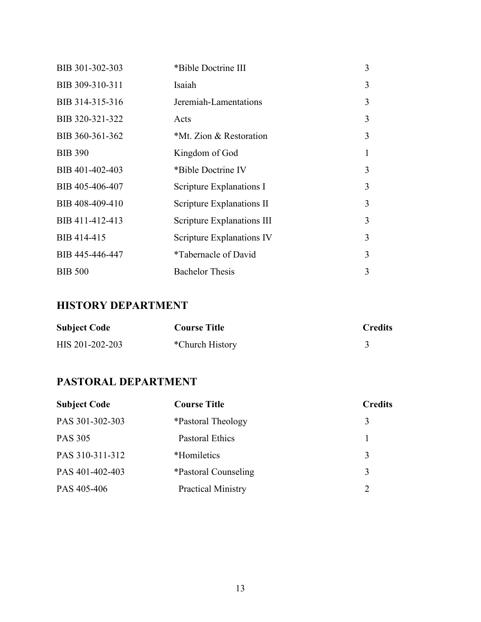| BIB 301-302-303 | *Bible Doctrine III               | 3 |
|-----------------|-----------------------------------|---|
| BIB 309-310-311 | Isaiah                            | 3 |
| BIB 314-315-316 | Jeremiah-Lamentations             | 3 |
| BIB 320-321-322 | Acts                              | 3 |
| BIB 360-361-362 | *Mt. Zion & Restoration           | 3 |
| <b>BIB 390</b>  | Kingdom of God                    |   |
| BIB 401-402-403 | *Bible Doctrine IV                | 3 |
| BIB 405-406-407 | Scripture Explanations I          | 3 |
| BIB 408-409-410 | Scripture Explanations II         | 3 |
| BIB 411-412-413 | <b>Scripture Explanations III</b> | 3 |
| BIB 414-415     | Scripture Explanations IV         | 3 |
| BIB 445-446-447 | <i>*Tabernacle of David</i>       | 3 |
| <b>BIB 500</b>  | <b>Bachelor Thesis</b>            | 3 |

### **HISTORY DEPARTMENT**

| <b>Subject Code</b> | <b>Course Title</b> | <b>Credits</b> |
|---------------------|---------------------|----------------|
| HIS 201-202-203     | *Church History     |                |

### **PASTORAL DEPARTMENT**

| <b>Subject Code</b> | <b>Course Title</b>         | <b>Credits</b>              |
|---------------------|-----------------------------|-----------------------------|
| PAS 301-302-303     | <i>*Pastoral Theology</i>   | 3                           |
| <b>PAS 305</b>      | <b>Pastoral Ethics</b>      |                             |
| PAS 310-311-312     | *Homiletics                 | 3                           |
| PAS 401-402-403     | <i>*Pastoral Counseling</i> | 3                           |
| PAS 405-406         | <b>Practical Ministry</b>   | $\mathcal{D}_{\mathcal{L}}$ |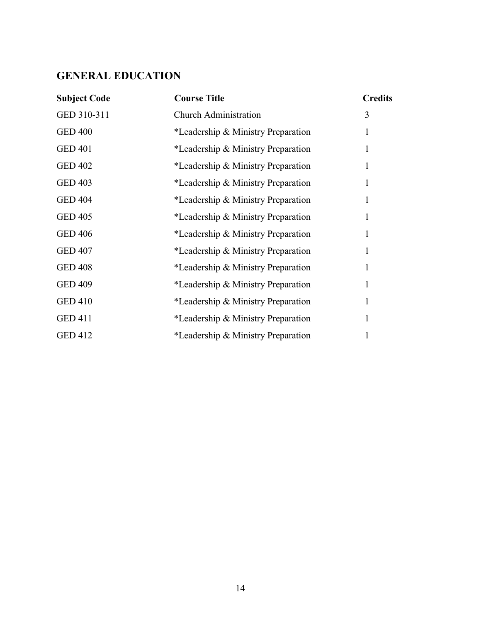### **GENERAL EDUCATION**

| <b>Subject Code</b> | <b>Course Title</b>                | <b>Credits</b> |
|---------------------|------------------------------------|----------------|
| GED 310-311         | <b>Church Administration</b>       | 3              |
| <b>GED 400</b>      | *Leadership & Ministry Preparation | 1              |
| <b>GED 401</b>      | *Leadership & Ministry Preparation | 1              |
| <b>GED 402</b>      | *Leadership & Ministry Preparation | 1              |
| <b>GED 403</b>      | *Leadership & Ministry Preparation | 1              |
| <b>GED 404</b>      | *Leadership & Ministry Preparation | $\mathbf{1}$   |
| <b>GED 405</b>      | *Leadership & Ministry Preparation | 1              |
| <b>GED 406</b>      | *Leadership & Ministry Preparation | 1              |
| <b>GED 407</b>      | *Leadership & Ministry Preparation | $\mathbf{1}$   |
| <b>GED 408</b>      | *Leadership & Ministry Preparation | 1              |
| <b>GED 409</b>      | *Leadership & Ministry Preparation | 1              |
| <b>GED 410</b>      | *Leadership & Ministry Preparation | 1              |
| <b>GED 411</b>      | *Leadership & Ministry Preparation | 1              |
| <b>GED 412</b>      | *Leadership & Ministry Preparation | 1              |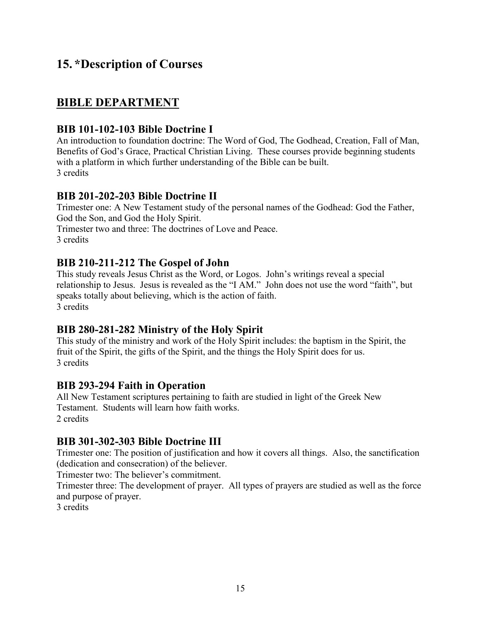### **15. \*Description of Courses**

### **BIBLE DEPARTMENT**

### **BIB 101-102-103 Bible Doctrine I**

An introduction to foundation doctrine: The Word of God, The Godhead, Creation, Fall of Man, Benefits of God's Grace, Practical Christian Living. These courses provide beginning students with a platform in which further understanding of the Bible can be built. 3 credits

#### **BIB 201-202-203 Bible Doctrine II**

Trimester one: A New Testament study of the personal names of the Godhead: God the Father, God the Son, and God the Holy Spirit.

Trimester two and three: The doctrines of Love and Peace.

3 credits

#### **BIB 210-211-212 The Gospel of John**

This study reveals Jesus Christ as the Word, or Logos. John's writings reveal a special relationship to Jesus. Jesus is revealed as the "I AM." John does not use the word "faith", but speaks totally about believing, which is the action of faith. 3 credits

#### **BIB 280-281-282 Ministry of the Holy Spirit**

This study of the ministry and work of the Holy Spirit includes: the baptism in the Spirit, the fruit of the Spirit, the gifts of the Spirit, and the things the Holy Spirit does for us. 3 credits

#### **BIB 293-294 Faith in Operation**

All New Testament scriptures pertaining to faith are studied in light of the Greek New Testament. Students will learn how faith works. 2 credits

#### **BIB 301-302-303 Bible Doctrine III**

Trimester one: The position of justification and how it covers all things. Also, the sanctification (dedication and consecration) of the believer.

Trimester two: The believer's commitment.

Trimester three: The development of prayer. All types of prayers are studied as well as the force and purpose of prayer.

3 credits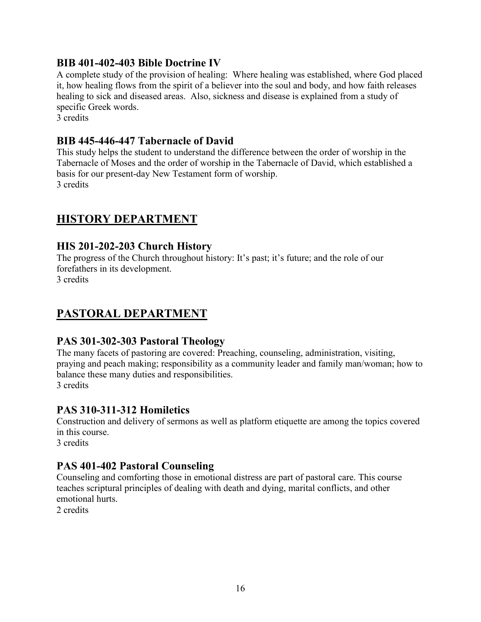#### **BIB 401-402-403 Bible Doctrine IV**

A complete study of the provision of healing: Where healing was established, where God placed it, how healing flows from the spirit of a believer into the soul and body, and how faith releases healing to sick and diseased areas. Also, sickness and disease is explained from a study of specific Greek words.

3 credits

#### **BIB 445-446-447 Tabernacle of David**

This study helps the student to understand the difference between the order of worship in the Tabernacle of Moses and the order of worship in the Tabernacle of David, which established a basis for our present-day New Testament form of worship. 3 credits

### **HISTORY DEPARTMENT**

#### **HIS 201-202-203 Church History**

The progress of the Church throughout history: It's past; it's future; and the role of our forefathers in its development.

3 credits

### **PASTORAL DEPARTMENT**

#### **PAS 301-302-303 Pastoral Theology**

The many facets of pastoring are covered: Preaching, counseling, administration, visiting, praying and peach making; responsibility as a community leader and family man/woman; how to balance these many duties and responsibilities. 3 credits

#### **PAS 310-311-312 Homiletics**

Construction and delivery of sermons as well as platform etiquette are among the topics covered in this course.

3 credits

### **PAS 401-402 Pastoral Counseling**

Counseling and comforting those in emotional distress are part of pastoral care. This course teaches scriptural principles of dealing with death and dying, marital conflicts, and other emotional hurts.

2 credits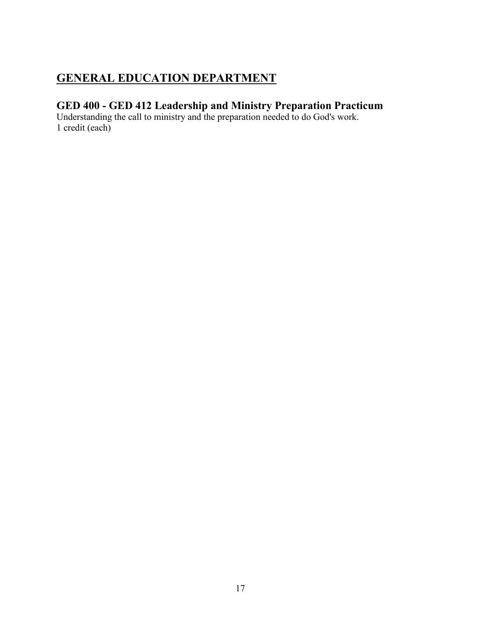### **GENERAL EDUCATION DEPARTMENT**

### **GED 400 - GED 412 Leadership and Ministry Preparation Practicum**

Understanding the call to ministry and the preparation needed to do God's work. 1 credit (each)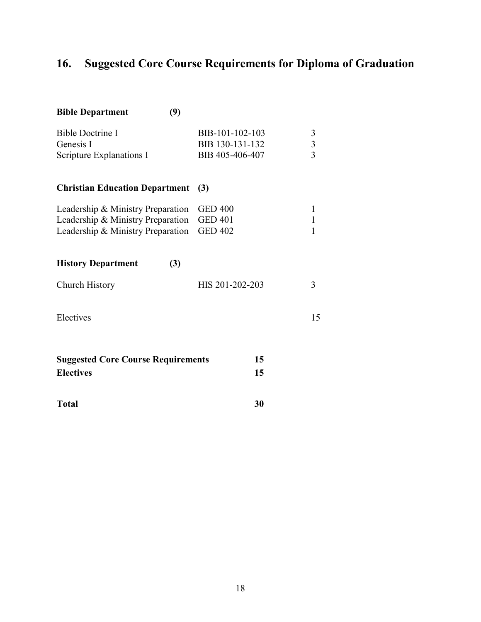# **16. Suggested Core Course Requirements for Diploma of Graduation**

| (9)<br><b>Bible Department</b>                                                                              |                                                       |                                   |
|-------------------------------------------------------------------------------------------------------------|-------------------------------------------------------|-----------------------------------|
| <b>Bible Doctrine I</b><br>Genesis I<br>Scripture Explanations I                                            | BIB-101-102-103<br>BIB 130-131-132<br>BIB 405-406-407 | 3<br>$\frac{3}{3}$                |
| <b>Christian Education Department</b>                                                                       | (3)                                                   |                                   |
| Leadership & Ministry Preparation<br>Leadership & Ministry Preparation<br>Leadership & Ministry Preparation | <b>GED 400</b><br><b>GED 401</b><br><b>GED 402</b>    | $\mathbf{1}$<br>$\mathbf{1}$<br>1 |
| <b>History Department</b><br>(3)                                                                            |                                                       |                                   |
| Church History                                                                                              | HIS 201-202-203                                       | 3                                 |
| Electives                                                                                                   |                                                       | 15                                |
| <b>Suggested Core Course Requirements</b><br><b>Electives</b>                                               | 15<br>15                                              |                                   |
| <b>Total</b>                                                                                                | 30                                                    |                                   |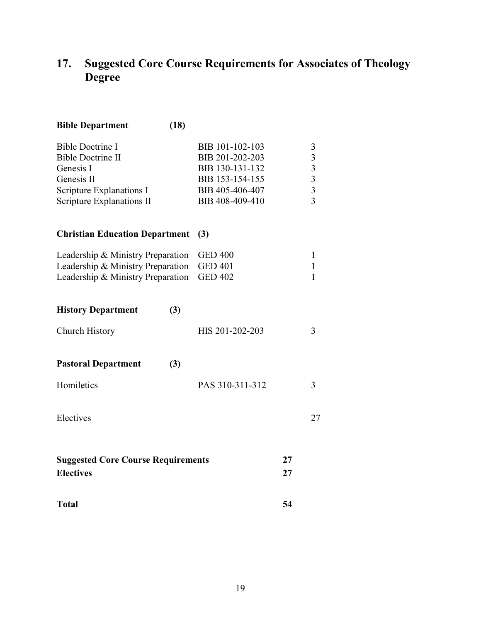### **17. Suggested Core Course Requirements for Associates of Theology Degree**

| (18)<br><b>Bible Department</b>           |                 |    |                                                 |
|-------------------------------------------|-----------------|----|-------------------------------------------------|
| <b>Bible Doctrine I</b>                   | BIB 101-102-103 |    | 3                                               |
| <b>Bible Doctrine II</b>                  | BIB 201-202-203 |    |                                                 |
| Genesis I                                 | BIB 130-131-132 |    | $\begin{array}{c} 3 \\ 3 \\ 3 \\ 3 \end{array}$ |
| Genesis II                                | BIB 153-154-155 |    |                                                 |
| Scripture Explanations I                  | BIB 405-406-407 |    |                                                 |
| <b>Scripture Explanations II</b>          | BIB 408-409-410 |    |                                                 |
| <b>Christian Education Department</b>     | (3)             |    |                                                 |
| Leadership & Ministry Preparation         | <b>GED 400</b>  |    | $\mathbf{1}$                                    |
| Leadership & Ministry Preparation         | <b>GED 401</b>  |    | $\mathbf{1}$                                    |
| Leadership & Ministry Preparation         | <b>GED 402</b>  |    | $\mathbf{1}$                                    |
| <b>History Department</b><br>(3)          |                 |    |                                                 |
| <b>Church History</b>                     | HIS 201-202-203 |    | 3                                               |
| <b>Pastoral Department</b><br>(3)         |                 |    |                                                 |
| Homiletics                                | PAS 310-311-312 |    | 3                                               |
| Electives                                 |                 |    | 27                                              |
| <b>Suggested Core Course Requirements</b> |                 | 27 |                                                 |
| <b>Electives</b>                          |                 | 27 |                                                 |
| <b>Total</b>                              |                 | 54 |                                                 |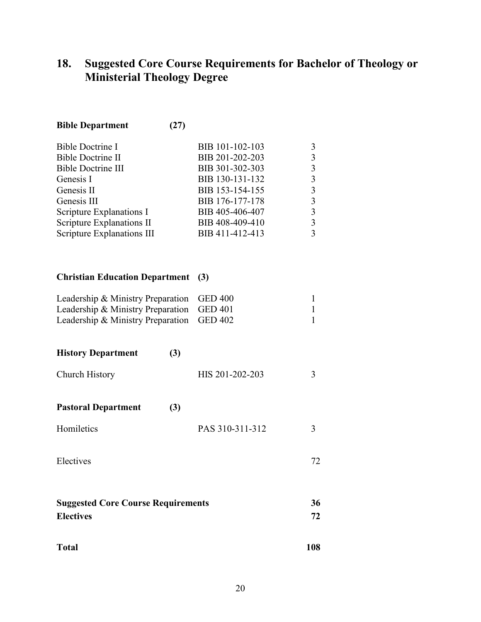### **18. Suggested Core Course Requirements for Bachelor of Theology or Ministerial Theology Degree**

| <b>Bible Doctrine I</b>    | BIB 101-102-103 |  |
|----------------------------|-----------------|--|
| Bible Doctrine II          | BIB 201-202-203 |  |
| <b>Bible Doctrine III</b>  | BIB 301-302-303 |  |
| Genesis I                  | BIB 130-131-132 |  |
| Genesis II                 | BIB 153-154-155 |  |
| Genesis III                | BIB 176-177-178 |  |
| Scripture Explanations I   | BIB 405-406-407 |  |
| Scripture Explanations II  | BIB 408-409-410 |  |
| Scripture Explanations III | BIB 411-412-413 |  |
|                            |                 |  |

#### **Christian Education Department (3)**

**Bible Department (27)**

| Leadership & Ministry Preparation GED 400 |  |
|-------------------------------------------|--|
| Leadership & Ministry Preparation GED 401 |  |
| Leadership & Ministry Preparation GED 402 |  |

| <b>History Department</b> | (3) |                 |  |
|---------------------------|-----|-----------------|--|
| Church History            |     | HIS 201-202-203 |  |
|                           |     |                 |  |

### **Pastoral Department (3)**

| Homiletics | PAS 310-311-312 |  |
|------------|-----------------|--|
|            |                 |  |

#### Electives 72

| <b>Suggested Core Course Requirements</b> | 36 |
|-------------------------------------------|----|
| <b>Electives</b>                          | 72 |

| <b>Total</b> | 108 |
|--------------|-----|
|              |     |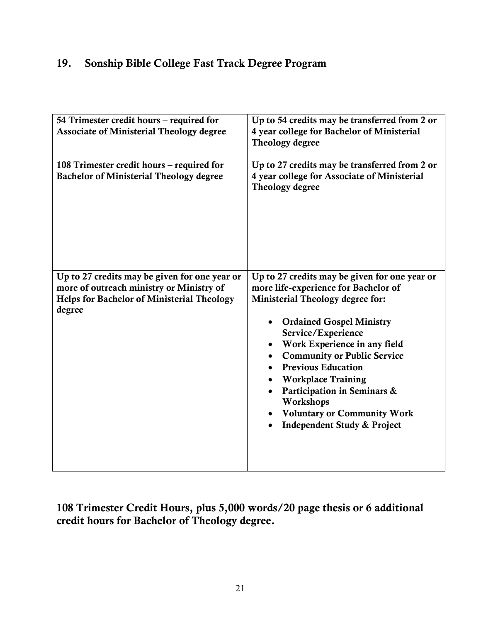### 19. Sonship Bible College Fast Track Degree Program

| 54 Trimester credit hours - required for<br><b>Associate of Ministerial Theology degree</b>                                                       | Up to 54 credits may be transferred from 2 or<br>4 year college for Bachelor of Ministerial<br>Theology degree                                                                                                                                                                                                                                                                                                                                                                        |
|---------------------------------------------------------------------------------------------------------------------------------------------------|---------------------------------------------------------------------------------------------------------------------------------------------------------------------------------------------------------------------------------------------------------------------------------------------------------------------------------------------------------------------------------------------------------------------------------------------------------------------------------------|
| 108 Trimester credit hours – required for<br><b>Bachelor of Ministerial Theology degree</b>                                                       | Up to 27 credits may be transferred from 2 or<br>4 year college for Associate of Ministerial<br>Theology degree                                                                                                                                                                                                                                                                                                                                                                       |
| Up to 27 credits may be given for one year or<br>more of outreach ministry or Ministry of<br>Helps for Bachelor of Ministerial Theology<br>degree | Up to 27 credits may be given for one year or<br>more life-experience for Bachelor of<br>Ministerial Theology degree for:<br><b>Ordained Gospel Ministry</b><br>Service/Experience<br>Work Experience in any field<br><b>Community or Public Service</b><br>$\bullet$<br><b>Previous Education</b><br><b>Workplace Training</b><br>$\bullet$<br>Participation in Seminars &<br>$\bullet$<br>Workshops<br><b>Voluntary or Community Work</b><br><b>Independent Study &amp; Project</b> |

108 Trimester Credit Hours, plus 5,000 words/20 page thesis or 6 additional credit hours for Bachelor of Theology degree.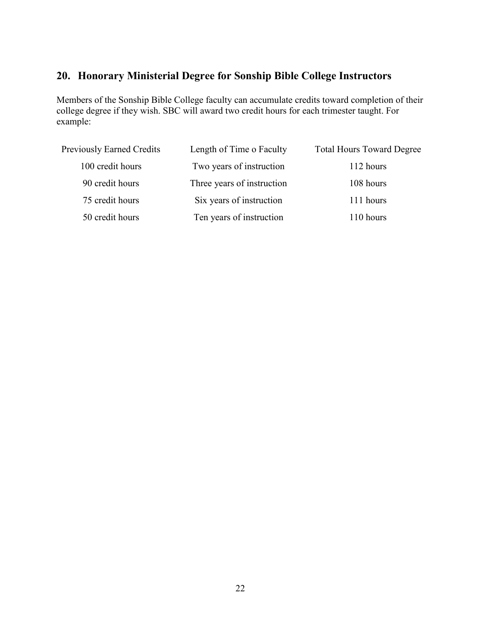### **20. Honorary Ministerial Degree for Sonship Bible College Instructors**

Members of the Sonship Bible College faculty can accumulate credits toward completion of their college degree if they wish. SBC will award two credit hours for each trimester taught. For example:

| <b>Previously Earned Credits</b> | Length of Time o Faculty   | <b>Total Hours Toward Degree</b> |
|----------------------------------|----------------------------|----------------------------------|
| 100 credit hours                 | Two years of instruction   | 112 hours                        |
| 90 credit hours                  | Three years of instruction | 108 hours                        |
| 75 credit hours                  | Six years of instruction   | 111 hours                        |
| 50 credit hours                  | Ten years of instruction   | 110 hours                        |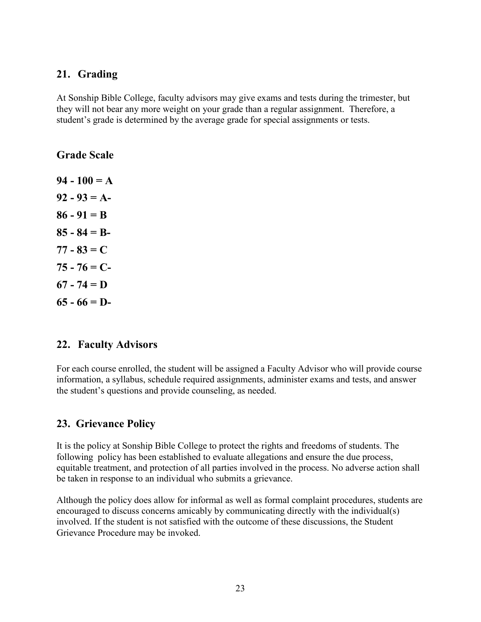### **21. Grading**

At Sonship Bible College, faculty advisors may give exams and tests during the trimester, but they will not bear any more weight on your grade than a regular assignment. Therefore, a student's grade is determined by the average grade for special assignments or tests.

**Grade Scale**

**94 - 100 = A**  $92 - 93 = A$ **86 - 91 = B 85 - 84 = B-77 - 83 = C 75 - 76 = C-67 - 74 = D**  $65 - 66 = D$ 

#### **22. Faculty Advisors**

For each course enrolled, the student will be assigned a Faculty Advisor who will provide course information, a syllabus, schedule required assignments, administer exams and tests, and answer the student's questions and provide counseling, as needed.

### **23. Grievance Policy**

It is the policy at Sonship Bible College to protect the rights and freedoms of students. The following policy has been established to evaluate allegations and ensure the due process, equitable treatment, and protection of all parties involved in the process. No adverse action shall be taken in response to an individual who submits a grievance.

Although the policy does allow for informal as well as formal complaint procedures, students are encouraged to discuss concerns amicably by communicating directly with the individual(s) involved. If the student is not satisfied with the outcome of these discussions, the Student Grievance Procedure may be invoked.